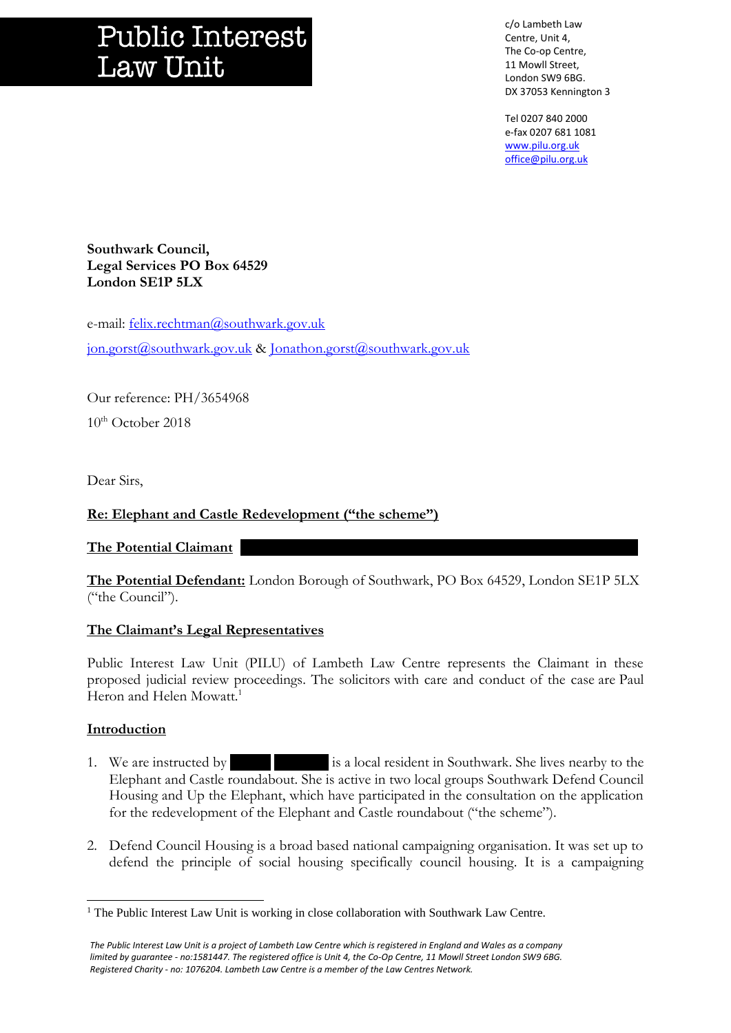# **Public Interest Law Unit**

c/o Lambeth Law Centre, Unit 4, The Co-op Centre, 11 Mowll Street, London SW9 6BG. DX 37053 Kennington 3

Tel 0207 840 2000 e-fax 0207 681 1081 [www.pilu.org.uk](http://www.pilu.org.uk/) [office@pilu.org.uk](mailto:office@pilu.org.uk)

**Southwark Council, Legal Services PO Box 64529 London SE1P 5LX**

e-mail: [felix.rechtman@southwark.gov.uk](mailto:felix.rechtman@southwark.gov.uk) [jon.gorst@southwark.gov.uk](mailto:jon.gorst@southwark.gov.uk) & [Jonathon.gorst@southwark.gov.uk](mailto:Jonathon.gorst@southwark.gov.uk)

Our reference: PH/3654968  $10^{th}$  October 2018

Dear Sirs,

## **Re: Elephant and Castle Redevelopment ("the scheme")**

The Potential Claimant

**The Potential Defendant:** London Borough of Southwark, PO Box 64529, London SE1P 5LX ("the Council").

### **The Claimant's Legal Representatives**

Public Interest Law Unit (PILU) of Lambeth Law Centre represents the Claimant in these proposed judicial review proceedings. The solicitors with care and conduct of the case are Paul Heron and Helen Mowatt.<sup>1</sup>

### **Introduction**

l

- 1. We are instructed by is a local resident in Southwark. She lives nearby to the Elephant and Castle roundabout. She is active in two local groups Southwark Defend Council Housing and Up the Elephant, which have participated in the consultation on the application for the redevelopment of the Elephant and Castle roundabout ("the scheme").
- 2. Defend Council Housing is a broad based national campaigning organisation. It was set up to defend the principle of social housing specifically council housing. It is a campaigning

<sup>&</sup>lt;sup>1</sup> The Public Interest Law Unit is working in close collaboration with Southwark Law Centre.

*The Public Interest Law Unit is a project of Lambeth Law Centre which is registered in England and Wales as a company limited by guarantee - no:1581447. The registered office is Unit 4, the Co-Op Centre, 11 Mowll Street London SW9 6BG. Registered Charity - no: 1076204. Lambeth Law Centre is a member of the Law Centres Network.*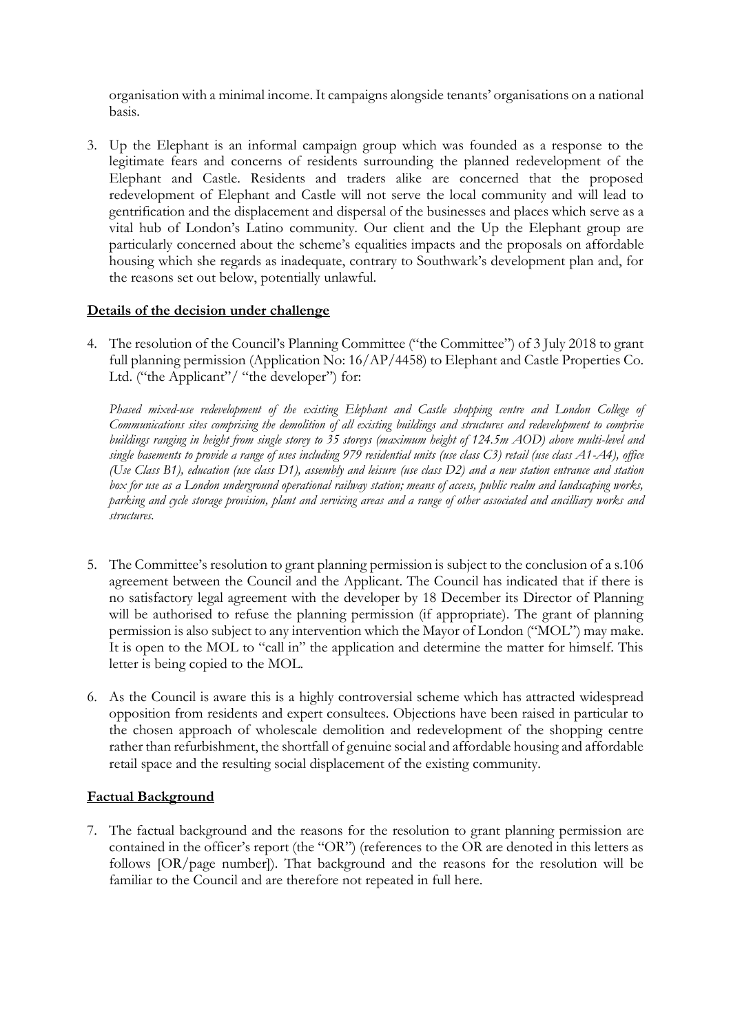organisation with a minimal income. It campaigns alongside tenants' organisations on a national basis.

3. Up the Elephant is an informal campaign group which was founded as a response to the legitimate fears and concerns of residents surrounding the planned redevelopment of the Elephant and Castle. Residents and traders alike are concerned that the proposed redevelopment of Elephant and Castle will not serve the local community and will lead to gentrification and the displacement and dispersal of the businesses and places which serve as a vital hub of London's Latino community. Our client and the Up the Elephant group are particularly concerned about the scheme's equalities impacts and the proposals on affordable housing which she regards as inadequate, contrary to Southwark's development plan and, for the reasons set out below, potentially unlawful.

### **Details of the decision under challenge**

4. The resolution of the Council's Planning Committee ("the Committee") of 3 July 2018 to grant full planning permission (Application No: 16/AP/4458) to Elephant and Castle Properties Co. Ltd. ("the Applicant"/ "the developer") for:

*Phased mixed-use redevelopment of the existing Elephant and Castle shopping centre and London College of Communications sites comprising the demolition of all existing buildings and structures and redevelopment to comprise buildings ranging in height from single storey to 35 storeys (maximum height of 124.5m AOD) above multi-level and single basements to provide a range of uses including 979 residential units (use class C3) retail (use class A1-A4), office (Use Class B1), education (use class D1), assembly and leisure (use class D2) and a new station entrance and station box for use as a London underground operational railway station; means of access, public realm and landscaping works, parking and cycle storage provision, plant and servicing areas and a range of other associated and ancilliary works and structures.*

- 5. The Committee's resolution to grant planning permission is subject to the conclusion of a s.106 agreement between the Council and the Applicant. The Council has indicated that if there is no satisfactory legal agreement with the developer by 18 December its Director of Planning will be authorised to refuse the planning permission (if appropriate). The grant of planning permission is also subject to any intervention which the Mayor of London ("MOL") may make. It is open to the MOL to "call in" the application and determine the matter for himself. This letter is being copied to the MOL.
- 6. As the Council is aware this is a highly controversial scheme which has attracted widespread opposition from residents and expert consultees. Objections have been raised in particular to the chosen approach of wholescale demolition and redevelopment of the shopping centre rather than refurbishment, the shortfall of genuine social and affordable housing and affordable retail space and the resulting social displacement of the existing community.

# **Factual Background**

7. The factual background and the reasons for the resolution to grant planning permission are contained in the officer's report (the "OR") (references to the OR are denoted in this letters as follows [OR/page number]). That background and the reasons for the resolution will be familiar to the Council and are therefore not repeated in full here.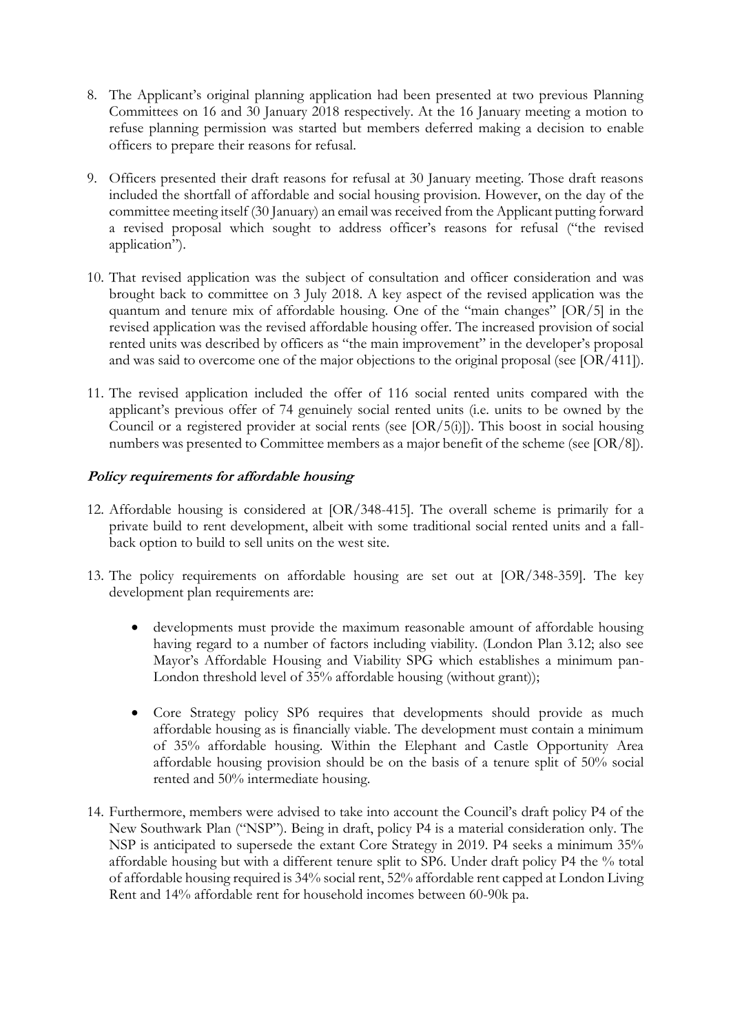- 8. The Applicant's original planning application had been presented at two previous Planning Committees on 16 and 30 January 2018 respectively. At the 16 January meeting a motion to refuse planning permission was started but members deferred making a decision to enable officers to prepare their reasons for refusal.
- 9. Officers presented their draft reasons for refusal at 30 January meeting. Those draft reasons included the shortfall of affordable and social housing provision. However, on the day of the committee meeting itself (30 January) an email was received from the Applicant putting forward a revised proposal which sought to address officer's reasons for refusal ("the revised application").
- 10. That revised application was the subject of consultation and officer consideration and was brought back to committee on 3 July 2018. A key aspect of the revised application was the quantum and tenure mix of affordable housing. One of the "main changes" [OR/5] in the revised application was the revised affordable housing offer. The increased provision of social rented units was described by officers as "the main improvement" in the developer's proposal and was said to overcome one of the major objections to the original proposal (see [OR/411]).
- 11. The revised application included the offer of 116 social rented units compared with the applicant's previous offer of 74 genuinely social rented units (i.e. units to be owned by the Council or a registered provider at social rents (see [OR/5(i)]). This boost in social housing numbers was presented to Committee members as a major benefit of the scheme (see [OR/8]).

# **Policy requirements for affordable housing**

- 12. Affordable housing is considered at [OR/348-415]. The overall scheme is primarily for a private build to rent development, albeit with some traditional social rented units and a fallback option to build to sell units on the west site.
- 13. The policy requirements on affordable housing are set out at [OR/348-359]. The key development plan requirements are:
	- developments must provide the maximum reasonable amount of affordable housing having regard to a number of factors including viability. (London Plan 3.12; also see Mayor's Affordable Housing and Viability SPG which establishes a minimum pan-London threshold level of 35% affordable housing (without grant));
	- Core Strategy policy SP6 requires that developments should provide as much affordable housing as is financially viable. The development must contain a minimum of 35% affordable housing. Within the Elephant and Castle Opportunity Area affordable housing provision should be on the basis of a tenure split of 50% social rented and 50% intermediate housing.
- 14. Furthermore, members were advised to take into account the Council's draft policy P4 of the New Southwark Plan ("NSP"). Being in draft, policy P4 is a material consideration only. The NSP is anticipated to supersede the extant Core Strategy in 2019. P4 seeks a minimum 35% affordable housing but with a different tenure split to SP6. Under draft policy P4 the % total of affordable housing required is 34% social rent, 52% affordable rent capped at London Living Rent and 14% affordable rent for household incomes between 60-90k pa.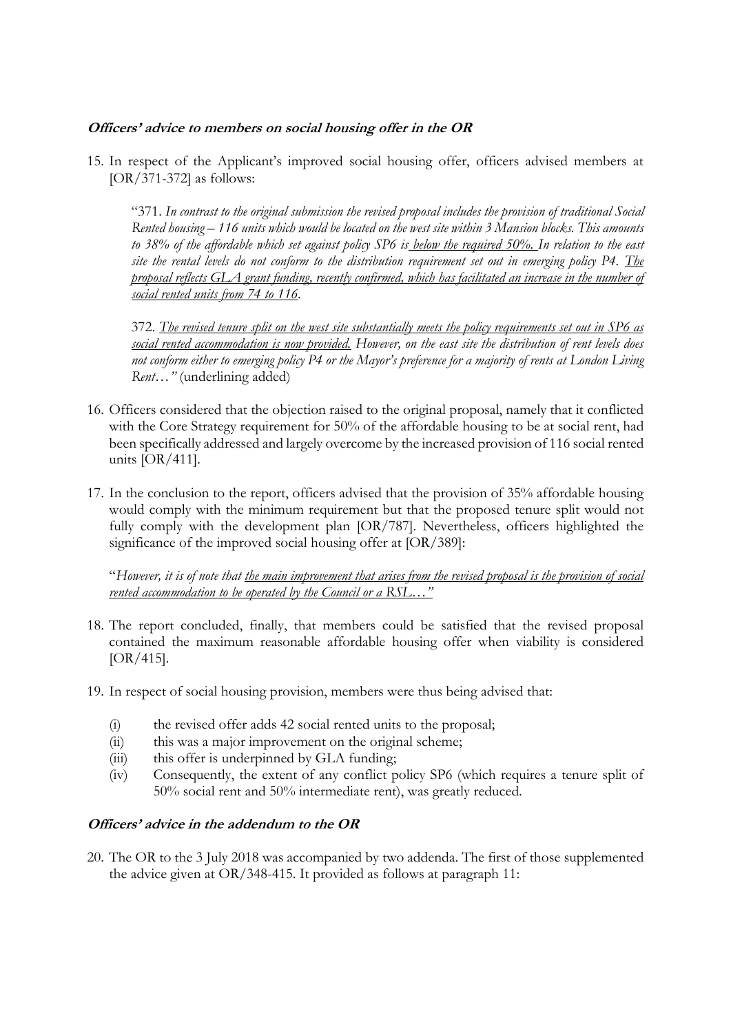## **Officers' advice to members on social housing offer in the OR**

15. In respect of the Applicant's improved social housing offer, officers advised members at [OR/371-372] as follows:

"371. *In contrast to the original submission the revised proposal includes the provision of traditional Social Rented housing – 116 units which would be located on the west site within 3 Mansion blocks. This amounts to 38% of the affordable which set against policy SP6 is below the required 50%. In relation to the east site the rental levels do not conform to the distribution requirement set out in emerging policy P4. The proposal reflects GLA grant funding, recently confirmed, which has facilitated an increase in the number of social rented units from 74 to 116.*

372. *The revised tenure split on the west site substantially meets the policy requirements set out in SP6 as social rented accommodation is now provided. However, on the east site the distribution of rent levels does not conform either to emerging policy P4 or the Mayor's preference for a majority of rents at London Living Rent…"* (underlining added)

- 16. Officers considered that the objection raised to the original proposal, namely that it conflicted with the Core Strategy requirement for 50% of the affordable housing to be at social rent, had been specifically addressed and largely overcome by the increased provision of 116 social rented units [OR/411].
- 17. In the conclusion to the report, officers advised that the provision of 35% affordable housing would comply with the minimum requirement but that the proposed tenure split would not fully comply with the development plan [OR/787]. Nevertheless, officers highlighted the significance of the improved social housing offer at [OR/389]:

"*However, it is of note that the main improvement that arises from the revised proposal is the provision of social rented accommodation to be operated by the Council or a RSL…"*

- 18. The report concluded, finally, that members could be satisfied that the revised proposal contained the maximum reasonable affordable housing offer when viability is considered  $[OR/415]$ .
- 19. In respect of social housing provision, members were thus being advised that:
	- (i) the revised offer adds 42 social rented units to the proposal;
	- (ii) this was a major improvement on the original scheme;
	- (iii) this offer is underpinned by GLA funding;
	- (iv) Consequently, the extent of any conflict policy SP6 (which requires a tenure split of 50% social rent and 50% intermediate rent), was greatly reduced.

### **Officers' advice in the addendum to the OR**

20. The OR to the 3 July 2018 was accompanied by two addenda. The first of those supplemented the advice given at OR/348-415. It provided as follows at paragraph 11: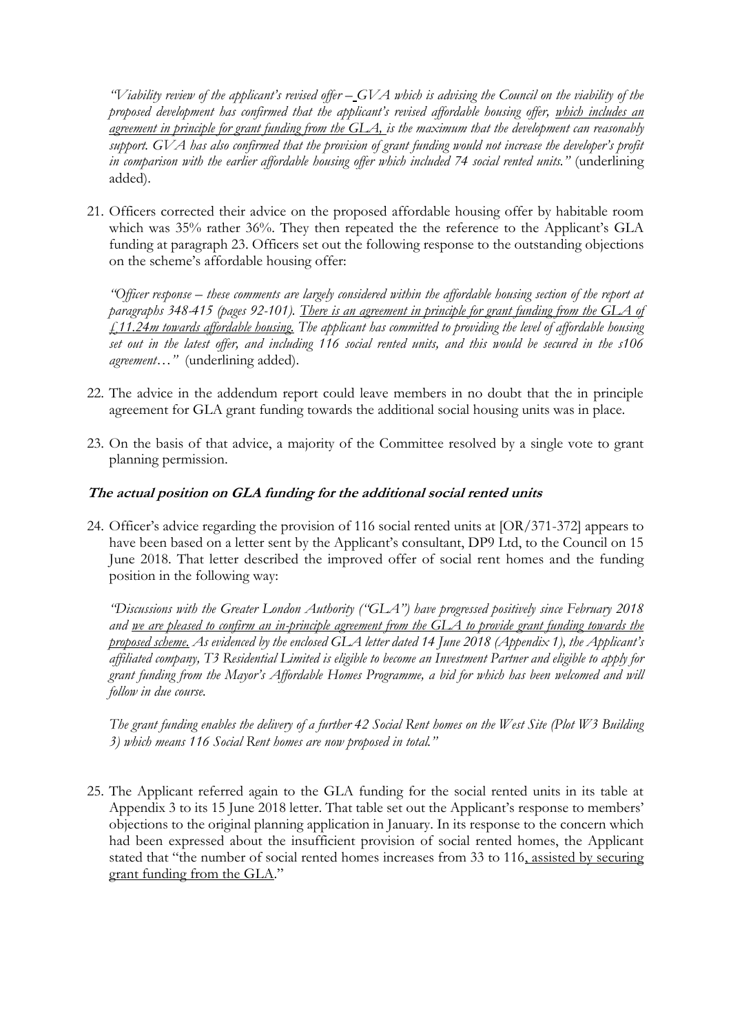*"Viability review of the applicant's revised offer – GVA which is advising the Council on the viability of the proposed development has confirmed that the applicant's revised affordable housing offer, which includes an agreement in principle for grant funding from the GLA, is the maximum that the development can reasonably support. GVA has also confirmed that the provision of grant funding would not increase the developer's profit in comparison with the earlier affordable housing offer which included 74 social rented units."* (underlining added).

21. Officers corrected their advice on the proposed affordable housing offer by habitable room which was 35% rather 36%. They then repeated the the reference to the Applicant's GLA funding at paragraph 23. Officers set out the following response to the outstanding objections on the scheme's affordable housing offer:

*"Officer response – these comments are largely considered within the affordable housing section of the report at paragraphs 348-415 (pages 92-101). There is an agreement in principle for grant funding from the GLA of £11.24m towards affordable housing. The applicant has committed to providing the level of affordable housing set out in the latest offer, and including 116 social rented units, and this would be secured in the s106 agreement…"* (underlining added).

- 22. The advice in the addendum report could leave members in no doubt that the in principle agreement for GLA grant funding towards the additional social housing units was in place.
- 23. On the basis of that advice, a majority of the Committee resolved by a single vote to grant planning permission.

# **The actual position on GLA funding for the additional social rented units**

24. Officer's advice regarding the provision of 116 social rented units at [OR/371-372] appears to have been based on a letter sent by the Applicant's consultant, DP9 Ltd, to the Council on 15 June 2018. That letter described the improved offer of social rent homes and the funding position in the following way:

*"Discussions with the Greater London Authority ("GLA") have progressed positively since February 2018 and we are pleased to confirm an in-principle agreement from the GLA to provide grant funding towards the proposed scheme. As evidenced by the enclosed GLA letter dated 14 June 2018 (Appendix 1), the Applicant's affiliated company, T3 Residential Limited is eligible to become an Investment Partner and eligible to apply for grant funding from the Mayor's Affordable Homes Programme, a bid for which has been welcomed and will follow in due course.*

*The grant funding enables the delivery of a further 42 Social Rent homes on the West Site (Plot W3 Building 3) which means 116 Social Rent homes are now proposed in total."*

25. The Applicant referred again to the GLA funding for the social rented units in its table at Appendix 3 to its 15 June 2018 letter. That table set out the Applicant's response to members' objections to the original planning application in January. In its response to the concern which had been expressed about the insufficient provision of social rented homes, the Applicant stated that "the number of social rented homes increases from 33 to 116, assisted by securing grant funding from the GLA."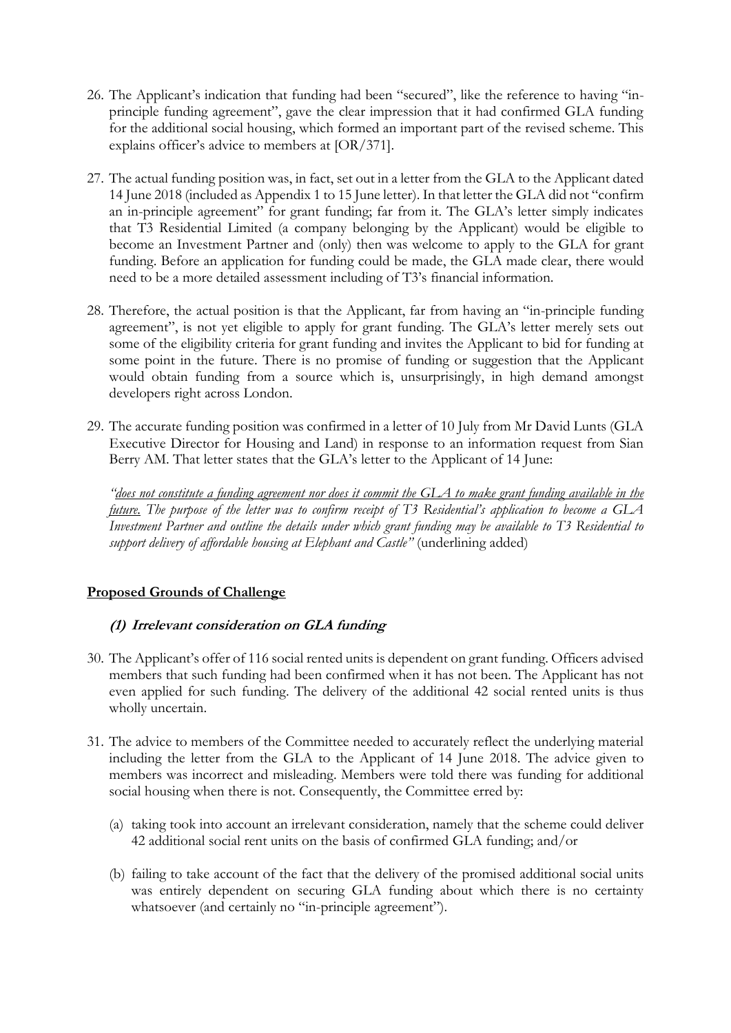- 26. The Applicant's indication that funding had been "secured", like the reference to having "inprinciple funding agreement", gave the clear impression that it had confirmed GLA funding for the additional social housing, which formed an important part of the revised scheme. This explains officer's advice to members at [OR/371].
- 27. The actual funding position was, in fact, set out in a letter from the GLA to the Applicant dated 14 June 2018 (included as Appendix 1 to 15 June letter). In that letter the GLA did not "confirm an in-principle agreement" for grant funding; far from it. The GLA's letter simply indicates that T3 Residential Limited (a company belonging by the Applicant) would be eligible to become an Investment Partner and (only) then was welcome to apply to the GLA for grant funding. Before an application for funding could be made, the GLA made clear, there would need to be a more detailed assessment including of T3's financial information.
- 28. Therefore, the actual position is that the Applicant, far from having an "in-principle funding agreement", is not yet eligible to apply for grant funding. The GLA's letter merely sets out some of the eligibility criteria for grant funding and invites the Applicant to bid for funding at some point in the future. There is no promise of funding or suggestion that the Applicant would obtain funding from a source which is, unsurprisingly, in high demand amongst developers right across London.
- 29. The accurate funding position was confirmed in a letter of 10 July from Mr David Lunts (GLA Executive Director for Housing and Land) in response to an information request from Sian Berry AM. That letter states that the GLA's letter to the Applicant of 14 June:

*"does not constitute a funding agreement nor does it commit the GLA to make grant funding available in the future. The purpose of the letter was to confirm receipt of T3 Residential's application to become a GLA Investment Partner and outline the details under which grant funding may be available to T3 Residential to support delivery of affordable housing at Elephant and Castle"* (underlining added)

# **Proposed Grounds of Challenge**

### **(1) Irrelevant consideration on GLA funding**

- 30. The Applicant's offer of 116 social rented units is dependent on grant funding. Officers advised members that such funding had been confirmed when it has not been. The Applicant has not even applied for such funding. The delivery of the additional 42 social rented units is thus wholly uncertain.
- 31. The advice to members of the Committee needed to accurately reflect the underlying material including the letter from the GLA to the Applicant of 14 June 2018. The advice given to members was incorrect and misleading. Members were told there was funding for additional social housing when there is not. Consequently, the Committee erred by:
	- (a) taking took into account an irrelevant consideration, namely that the scheme could deliver 42 additional social rent units on the basis of confirmed GLA funding; and/or
	- (b) failing to take account of the fact that the delivery of the promised additional social units was entirely dependent on securing GLA funding about which there is no certainty whatsoever (and certainly no "in-principle agreement").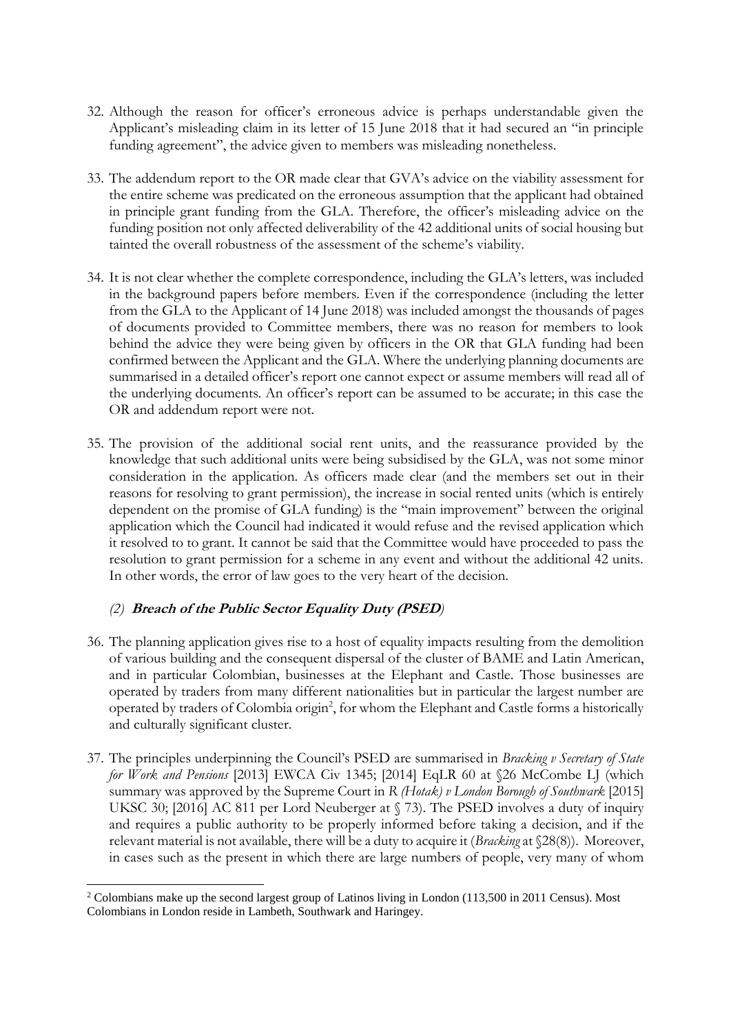- 32. Although the reason for officer's erroneous advice is perhaps understandable given the Applicant's misleading claim in its letter of 15 June 2018 that it had secured an "in principle funding agreement", the advice given to members was misleading nonetheless.
- 33. The addendum report to the OR made clear that GVA's advice on the viability assessment for the entire scheme was predicated on the erroneous assumption that the applicant had obtained in principle grant funding from the GLA. Therefore, the officer's misleading advice on the funding position not only affected deliverability of the 42 additional units of social housing but tainted the overall robustness of the assessment of the scheme's viability.
- 34. It is not clear whether the complete correspondence, including the GLA's letters, was included in the background papers before members. Even if the correspondence (including the letter from the GLA to the Applicant of 14 June 2018) was included amongst the thousands of pages of documents provided to Committee members, there was no reason for members to look behind the advice they were being given by officers in the OR that GLA funding had been confirmed between the Applicant and the GLA. Where the underlying planning documents are summarised in a detailed officer's report one cannot expect or assume members will read all of the underlying documents. An officer's report can be assumed to be accurate; in this case the OR and addendum report were not.
- 35. The provision of the additional social rent units, and the reassurance provided by the knowledge that such additional units were being subsidised by the GLA, was not some minor consideration in the application. As officers made clear (and the members set out in their reasons for resolving to grant permission), the increase in social rented units (which is entirely dependent on the promise of GLA funding) is the "main improvement" between the original application which the Council had indicated it would refuse and the revised application which it resolved to to grant. It cannot be said that the Committee would have proceeded to pass the resolution to grant permission for a scheme in any event and without the additional 42 units. In other words, the error of law goes to the very heart of the decision.

# *(2)* **Breach of the Public Sector Equality Duty (PSED***)*

l

- 36. The planning application gives rise to a host of equality impacts resulting from the demolition of various building and the consequent dispersal of the cluster of BAME and Latin American, and in particular Colombian, businesses at the Elephant and Castle. Those businesses are operated by traders from many different nationalities but in particular the largest number are operated by traders of Colombia origin<sup>2</sup>, for whom the Elephant and Castle forms a historically and culturally significant cluster.
- 37. The principles underpinning the Council's PSED are summarised in *Bracking v Secretary of State for Work and Pensions* [2013] EWCA Civ 1345; [2014] EqLR 60 at §26 McCombe LJ (which summary was approved by the Supreme Court in *R (Hotak) v London Borough of Southwark* [2015] UKSC 30; [2016] AC 811 per Lord Neuberger at § 73). The PSED involves a duty of inquiry and requires a public authority to be properly informed before taking a decision, and if the relevant material is not available, there will be a duty to acquire it (*Bracking* at §28(8)). Moreover, in cases such as the present in which there are large numbers of people, very many of whom

<sup>2</sup> Colombians make up the second largest group of Latinos living in London (113,500 in 2011 Census). Most Colombians in London reside in Lambeth, Southwark and Haringey.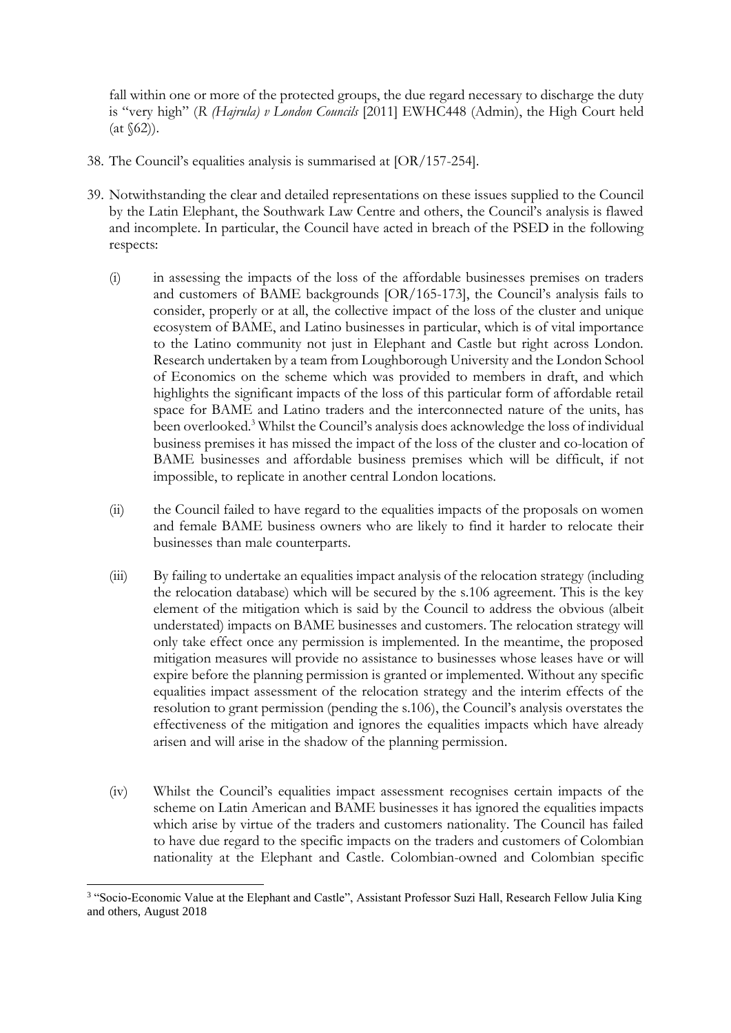fall within one or more of the protected groups, the due regard necessary to discharge the duty is "very high" (*R (Hajrula) v London Councils* [2011] EWHC448 (Admin), the High Court held  $(at \, \& 62)$ ).

- 38. The Council's equalities analysis is summarised at [OR/157-254].
- 39. Notwithstanding the clear and detailed representations on these issues supplied to the Council by the Latin Elephant, the Southwark Law Centre and others, the Council's analysis is flawed and incomplete. In particular, the Council have acted in breach of the PSED in the following respects:
	- (i) in assessing the impacts of the loss of the affordable businesses premises on traders and customers of BAME backgrounds [OR/165-173], the Council's analysis fails to consider, properly or at all, the collective impact of the loss of the cluster and unique ecosystem of BAME, and Latino businesses in particular, which is of vital importance to the Latino community not just in Elephant and Castle but right across London. Research undertaken by a team from Loughborough University and the London School of Economics on the scheme which was provided to members in draft, and which highlights the significant impacts of the loss of this particular form of affordable retail space for BAME and Latino traders and the interconnected nature of the units, has been overlooked.<sup>3</sup> Whilst the Council's analysis does acknowledge the loss of individual business premises it has missed the impact of the loss of the cluster and co-location of BAME businesses and affordable business premises which will be difficult, if not impossible, to replicate in another central London locations.
	- (ii) the Council failed to have regard to the equalities impacts of the proposals on women and female BAME business owners who are likely to find it harder to relocate their businesses than male counterparts.
	- (iii) By failing to undertake an equalities impact analysis of the relocation strategy (including the relocation database) which will be secured by the s.106 agreement. This is the key element of the mitigation which is said by the Council to address the obvious (albeit understated) impacts on BAME businesses and customers. The relocation strategy will only take effect once any permission is implemented. In the meantime, the proposed mitigation measures will provide no assistance to businesses whose leases have or will expire before the planning permission is granted or implemented. Without any specific equalities impact assessment of the relocation strategy and the interim effects of the resolution to grant permission (pending the s.106), the Council's analysis overstates the effectiveness of the mitigation and ignores the equalities impacts which have already arisen and will arise in the shadow of the planning permission.
	- (iv) Whilst the Council's equalities impact assessment recognises certain impacts of the scheme on Latin American and BAME businesses it has ignored the equalities impacts which arise by virtue of the traders and customers nationality. The Council has failed to have due regard to the specific impacts on the traders and customers of Colombian nationality at the Elephant and Castle. Colombian-owned and Colombian specific

l 3 "Socio-Economic Value at the Elephant and Castle", Assistant Professor Suzi Hall, Research Fellow Julia King and others, August 2018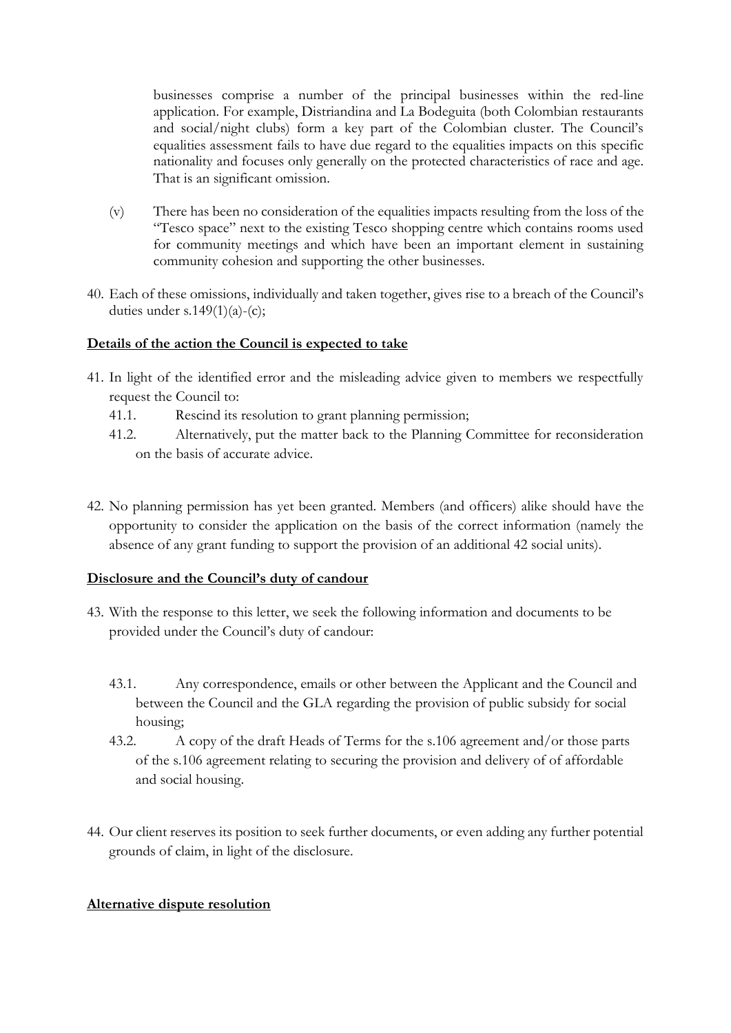businesses comprise a number of the principal businesses within the red-line application. For example, Distriandina and La Bodeguita (both Colombian restaurants and social/night clubs) form a key part of the Colombian cluster. The Council's equalities assessment fails to have due regard to the equalities impacts on this specific nationality and focuses only generally on the protected characteristics of race and age. That is an significant omission.

- (v) There has been no consideration of the equalities impacts resulting from the loss of the "Tesco space" next to the existing Tesco shopping centre which contains rooms used for community meetings and which have been an important element in sustaining community cohesion and supporting the other businesses.
- 40. Each of these omissions, individually and taken together, gives rise to a breach of the Council's duties under s.149 $(1)(a)-(c)$ ;

## **Details of the action the Council is expected to take**

- 41. In light of the identified error and the misleading advice given to members we respectfully request the Council to:
	- 41.1. Rescind its resolution to grant planning permission;
	- 41.2. Alternatively, put the matter back to the Planning Committee for reconsideration on the basis of accurate advice.
- 42. No planning permission has yet been granted. Members (and officers) alike should have the opportunity to consider the application on the basis of the correct information (namely the absence of any grant funding to support the provision of an additional 42 social units).

### **Disclosure and the Council's duty of candour**

- 43. With the response to this letter, we seek the following information and documents to be provided under the Council's duty of candour:
	- 43.1. Any correspondence, emails or other between the Applicant and the Council and between the Council and the GLA regarding the provision of public subsidy for social housing;
	- 43.2. A copy of the draft Heads of Terms for the s.106 agreement and/or those parts of the s.106 agreement relating to securing the provision and delivery of of affordable and social housing.
- 44. Our client reserves its position to seek further documents, or even adding any further potential grounds of claim, in light of the disclosure.

### **Alternative dispute resolution**